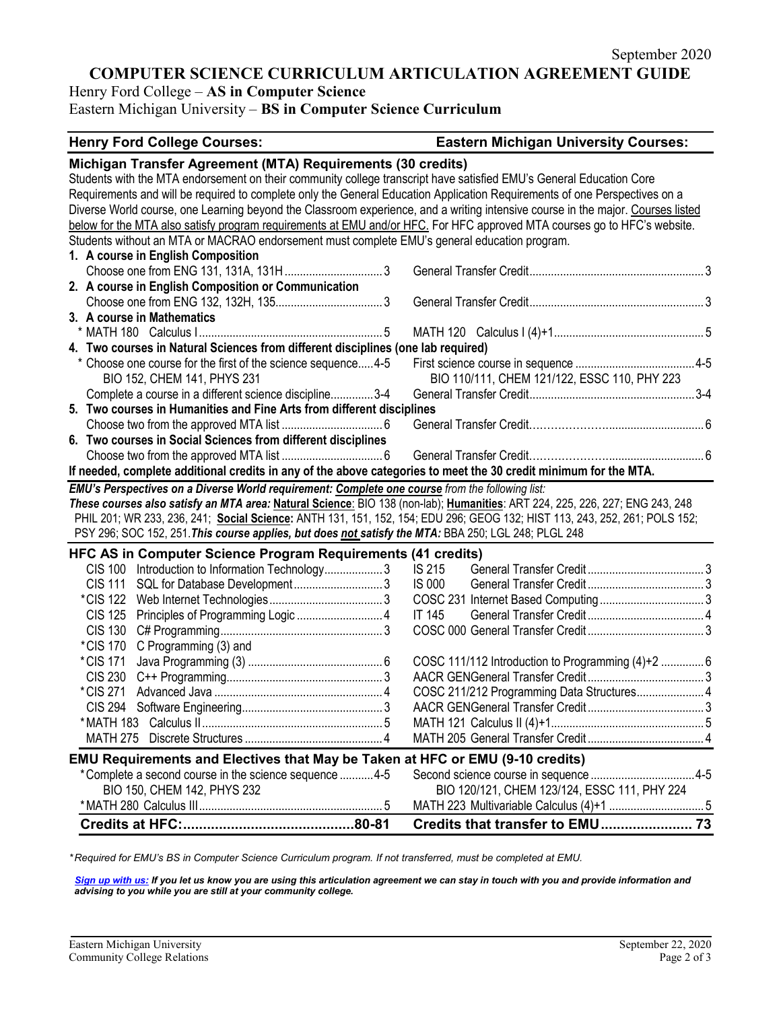# **COMPUTER SCIENCE CURRICULUM ARTICULATION AGREEMENT GUIDE**

Henry Ford College – **AS in Computer Science**

Eastern Michigan University – **BS in Computer Science Curriculum**

#### **Henry Ford College Courses: Eastern Michigan University Courses:**

| Students with the MTA endorsement on their community college transcript have satisfied EMU's General Education Core<br>Requirements and will be required to complete only the General Education Application Requirements of one Perspectives on a<br>Diverse World course, one Learning beyond the Classroom experience, and a writing intensive course in the major. Courses listed<br>below for the MTA also satisfy program requirements at EMU and/or HFC. For HFC approved MTA courses go to HFC's website.<br>Students without an MTA or MACRAO endorsement must complete EMU's general education program.<br>1. A course in English Composition<br>3. A course in Mathematics<br>4. Two courses in Natural Sciences from different disciplines (one lab required)<br>* Choose one course for the first of the science sequence 4-5<br>BIO 110/111, CHEM 121/122, ESSC 110, PHY 223<br>BIO 152, CHEM 141, PHYS 231<br>Complete a course in a different science discipline3-4<br>5. Two courses in Humanities and Fine Arts from different disciplines<br>6. Two courses in Social Sciences from different disciplines<br>If needed, complete additional credits in any of the above categories to meet the 30 credit minimum for the MTA.<br>EMU's Perspectives on a Diverse World requirement: Complete one course from the following list:<br>These courses also satisfy an MTA area: Natural Science: BIO 138 (non-lab); Humanities: ART 224, 225, 226, 227; ENG 243, 248<br>PHIL 201; WR 233, 236, 241; Social Science: ANTH 131, 151, 152, 154; EDU 296; GEOG 132; HIST 113, 243, 252, 261; POLS 152;<br>PSY 296; SOC 152, 251. This course applies, but does not satisfy the MTA: BBA 250; LGL 248; PLGL 248<br><b>HFC AS in Computer Science Program Requirements (41 credits)</b><br>CIS 100 Introduction to Information Technology3<br>IS 215<br><b>CIS 111</b><br><b>IS 000</b><br><b>IT 145</b><br><b>CIS 125</b><br><b>CIS 130</b><br>*CIS 170<br>C Programming (3) and<br>COSC 111/112 Introduction to Programming (4)+2  6<br>*CIS 171<br><b>CIS 230</b><br>*CIS 271<br>COSC 211/212 Programming Data Structures 4<br><b>EMU Requirements and Electives that May be Taken at HFC or EMU (9-10 credits)</b><br>*Complete a second course in the science sequence 4-5<br>BIO 120/121, CHEM 123/124, ESSC 111, PHY 224<br>BIO 150, CHEM 142, PHYS 232 | Michigan Transfer Agreement (MTA) Requirements (30 credits) |  |  |  |  |
|------------------------------------------------------------------------------------------------------------------------------------------------------------------------------------------------------------------------------------------------------------------------------------------------------------------------------------------------------------------------------------------------------------------------------------------------------------------------------------------------------------------------------------------------------------------------------------------------------------------------------------------------------------------------------------------------------------------------------------------------------------------------------------------------------------------------------------------------------------------------------------------------------------------------------------------------------------------------------------------------------------------------------------------------------------------------------------------------------------------------------------------------------------------------------------------------------------------------------------------------------------------------------------------------------------------------------------------------------------------------------------------------------------------------------------------------------------------------------------------------------------------------------------------------------------------------------------------------------------------------------------------------------------------------------------------------------------------------------------------------------------------------------------------------------------------------------------------------------------------------------------------------------------------------------------------------------------------------------------------------------------------------------------------------------------------------------------------------------------------------------------------------------------------------------------------------------------------------------------------------------------------------------------------------------------------------------------------------------------------------|-------------------------------------------------------------|--|--|--|--|
|                                                                                                                                                                                                                                                                                                                                                                                                                                                                                                                                                                                                                                                                                                                                                                                                                                                                                                                                                                                                                                                                                                                                                                                                                                                                                                                                                                                                                                                                                                                                                                                                                                                                                                                                                                                                                                                                                                                                                                                                                                                                                                                                                                                                                                                                                                                                                                        |                                                             |  |  |  |  |
|                                                                                                                                                                                                                                                                                                                                                                                                                                                                                                                                                                                                                                                                                                                                                                                                                                                                                                                                                                                                                                                                                                                                                                                                                                                                                                                                                                                                                                                                                                                                                                                                                                                                                                                                                                                                                                                                                                                                                                                                                                                                                                                                                                                                                                                                                                                                                                        |                                                             |  |  |  |  |
|                                                                                                                                                                                                                                                                                                                                                                                                                                                                                                                                                                                                                                                                                                                                                                                                                                                                                                                                                                                                                                                                                                                                                                                                                                                                                                                                                                                                                                                                                                                                                                                                                                                                                                                                                                                                                                                                                                                                                                                                                                                                                                                                                                                                                                                                                                                                                                        |                                                             |  |  |  |  |
|                                                                                                                                                                                                                                                                                                                                                                                                                                                                                                                                                                                                                                                                                                                                                                                                                                                                                                                                                                                                                                                                                                                                                                                                                                                                                                                                                                                                                                                                                                                                                                                                                                                                                                                                                                                                                                                                                                                                                                                                                                                                                                                                                                                                                                                                                                                                                                        |                                                             |  |  |  |  |
|                                                                                                                                                                                                                                                                                                                                                                                                                                                                                                                                                                                                                                                                                                                                                                                                                                                                                                                                                                                                                                                                                                                                                                                                                                                                                                                                                                                                                                                                                                                                                                                                                                                                                                                                                                                                                                                                                                                                                                                                                                                                                                                                                                                                                                                                                                                                                                        |                                                             |  |  |  |  |
|                                                                                                                                                                                                                                                                                                                                                                                                                                                                                                                                                                                                                                                                                                                                                                                                                                                                                                                                                                                                                                                                                                                                                                                                                                                                                                                                                                                                                                                                                                                                                                                                                                                                                                                                                                                                                                                                                                                                                                                                                                                                                                                                                                                                                                                                                                                                                                        |                                                             |  |  |  |  |
|                                                                                                                                                                                                                                                                                                                                                                                                                                                                                                                                                                                                                                                                                                                                                                                                                                                                                                                                                                                                                                                                                                                                                                                                                                                                                                                                                                                                                                                                                                                                                                                                                                                                                                                                                                                                                                                                                                                                                                                                                                                                                                                                                                                                                                                                                                                                                                        |                                                             |  |  |  |  |
|                                                                                                                                                                                                                                                                                                                                                                                                                                                                                                                                                                                                                                                                                                                                                                                                                                                                                                                                                                                                                                                                                                                                                                                                                                                                                                                                                                                                                                                                                                                                                                                                                                                                                                                                                                                                                                                                                                                                                                                                                                                                                                                                                                                                                                                                                                                                                                        | 2. A course in English Composition or Communication         |  |  |  |  |
|                                                                                                                                                                                                                                                                                                                                                                                                                                                                                                                                                                                                                                                                                                                                                                                                                                                                                                                                                                                                                                                                                                                                                                                                                                                                                                                                                                                                                                                                                                                                                                                                                                                                                                                                                                                                                                                                                                                                                                                                                                                                                                                                                                                                                                                                                                                                                                        |                                                             |  |  |  |  |
|                                                                                                                                                                                                                                                                                                                                                                                                                                                                                                                                                                                                                                                                                                                                                                                                                                                                                                                                                                                                                                                                                                                                                                                                                                                                                                                                                                                                                                                                                                                                                                                                                                                                                                                                                                                                                                                                                                                                                                                                                                                                                                                                                                                                                                                                                                                                                                        |                                                             |  |  |  |  |
|                                                                                                                                                                                                                                                                                                                                                                                                                                                                                                                                                                                                                                                                                                                                                                                                                                                                                                                                                                                                                                                                                                                                                                                                                                                                                                                                                                                                                                                                                                                                                                                                                                                                                                                                                                                                                                                                                                                                                                                                                                                                                                                                                                                                                                                                                                                                                                        |                                                             |  |  |  |  |
|                                                                                                                                                                                                                                                                                                                                                                                                                                                                                                                                                                                                                                                                                                                                                                                                                                                                                                                                                                                                                                                                                                                                                                                                                                                                                                                                                                                                                                                                                                                                                                                                                                                                                                                                                                                                                                                                                                                                                                                                                                                                                                                                                                                                                                                                                                                                                                        |                                                             |  |  |  |  |
|                                                                                                                                                                                                                                                                                                                                                                                                                                                                                                                                                                                                                                                                                                                                                                                                                                                                                                                                                                                                                                                                                                                                                                                                                                                                                                                                                                                                                                                                                                                                                                                                                                                                                                                                                                                                                                                                                                                                                                                                                                                                                                                                                                                                                                                                                                                                                                        |                                                             |  |  |  |  |
|                                                                                                                                                                                                                                                                                                                                                                                                                                                                                                                                                                                                                                                                                                                                                                                                                                                                                                                                                                                                                                                                                                                                                                                                                                                                                                                                                                                                                                                                                                                                                                                                                                                                                                                                                                                                                                                                                                                                                                                                                                                                                                                                                                                                                                                                                                                                                                        |                                                             |  |  |  |  |
|                                                                                                                                                                                                                                                                                                                                                                                                                                                                                                                                                                                                                                                                                                                                                                                                                                                                                                                                                                                                                                                                                                                                                                                                                                                                                                                                                                                                                                                                                                                                                                                                                                                                                                                                                                                                                                                                                                                                                                                                                                                                                                                                                                                                                                                                                                                                                                        |                                                             |  |  |  |  |
|                                                                                                                                                                                                                                                                                                                                                                                                                                                                                                                                                                                                                                                                                                                                                                                                                                                                                                                                                                                                                                                                                                                                                                                                                                                                                                                                                                                                                                                                                                                                                                                                                                                                                                                                                                                                                                                                                                                                                                                                                                                                                                                                                                                                                                                                                                                                                                        |                                                             |  |  |  |  |
|                                                                                                                                                                                                                                                                                                                                                                                                                                                                                                                                                                                                                                                                                                                                                                                                                                                                                                                                                                                                                                                                                                                                                                                                                                                                                                                                                                                                                                                                                                                                                                                                                                                                                                                                                                                                                                                                                                                                                                                                                                                                                                                                                                                                                                                                                                                                                                        |                                                             |  |  |  |  |
|                                                                                                                                                                                                                                                                                                                                                                                                                                                                                                                                                                                                                                                                                                                                                                                                                                                                                                                                                                                                                                                                                                                                                                                                                                                                                                                                                                                                                                                                                                                                                                                                                                                                                                                                                                                                                                                                                                                                                                                                                                                                                                                                                                                                                                                                                                                                                                        |                                                             |  |  |  |  |
|                                                                                                                                                                                                                                                                                                                                                                                                                                                                                                                                                                                                                                                                                                                                                                                                                                                                                                                                                                                                                                                                                                                                                                                                                                                                                                                                                                                                                                                                                                                                                                                                                                                                                                                                                                                                                                                                                                                                                                                                                                                                                                                                                                                                                                                                                                                                                                        |                                                             |  |  |  |  |
|                                                                                                                                                                                                                                                                                                                                                                                                                                                                                                                                                                                                                                                                                                                                                                                                                                                                                                                                                                                                                                                                                                                                                                                                                                                                                                                                                                                                                                                                                                                                                                                                                                                                                                                                                                                                                                                                                                                                                                                                                                                                                                                                                                                                                                                                                                                                                                        |                                                             |  |  |  |  |
|                                                                                                                                                                                                                                                                                                                                                                                                                                                                                                                                                                                                                                                                                                                                                                                                                                                                                                                                                                                                                                                                                                                                                                                                                                                                                                                                                                                                                                                                                                                                                                                                                                                                                                                                                                                                                                                                                                                                                                                                                                                                                                                                                                                                                                                                                                                                                                        |                                                             |  |  |  |  |
|                                                                                                                                                                                                                                                                                                                                                                                                                                                                                                                                                                                                                                                                                                                                                                                                                                                                                                                                                                                                                                                                                                                                                                                                                                                                                                                                                                                                                                                                                                                                                                                                                                                                                                                                                                                                                                                                                                                                                                                                                                                                                                                                                                                                                                                                                                                                                                        |                                                             |  |  |  |  |
|                                                                                                                                                                                                                                                                                                                                                                                                                                                                                                                                                                                                                                                                                                                                                                                                                                                                                                                                                                                                                                                                                                                                                                                                                                                                                                                                                                                                                                                                                                                                                                                                                                                                                                                                                                                                                                                                                                                                                                                                                                                                                                                                                                                                                                                                                                                                                                        |                                                             |  |  |  |  |
|                                                                                                                                                                                                                                                                                                                                                                                                                                                                                                                                                                                                                                                                                                                                                                                                                                                                                                                                                                                                                                                                                                                                                                                                                                                                                                                                                                                                                                                                                                                                                                                                                                                                                                                                                                                                                                                                                                                                                                                                                                                                                                                                                                                                                                                                                                                                                                        |                                                             |  |  |  |  |
|                                                                                                                                                                                                                                                                                                                                                                                                                                                                                                                                                                                                                                                                                                                                                                                                                                                                                                                                                                                                                                                                                                                                                                                                                                                                                                                                                                                                                                                                                                                                                                                                                                                                                                                                                                                                                                                                                                                                                                                                                                                                                                                                                                                                                                                                                                                                                                        |                                                             |  |  |  |  |
|                                                                                                                                                                                                                                                                                                                                                                                                                                                                                                                                                                                                                                                                                                                                                                                                                                                                                                                                                                                                                                                                                                                                                                                                                                                                                                                                                                                                                                                                                                                                                                                                                                                                                                                                                                                                                                                                                                                                                                                                                                                                                                                                                                                                                                                                                                                                                                        |                                                             |  |  |  |  |
|                                                                                                                                                                                                                                                                                                                                                                                                                                                                                                                                                                                                                                                                                                                                                                                                                                                                                                                                                                                                                                                                                                                                                                                                                                                                                                                                                                                                                                                                                                                                                                                                                                                                                                                                                                                                                                                                                                                                                                                                                                                                                                                                                                                                                                                                                                                                                                        |                                                             |  |  |  |  |
|                                                                                                                                                                                                                                                                                                                                                                                                                                                                                                                                                                                                                                                                                                                                                                                                                                                                                                                                                                                                                                                                                                                                                                                                                                                                                                                                                                                                                                                                                                                                                                                                                                                                                                                                                                                                                                                                                                                                                                                                                                                                                                                                                                                                                                                                                                                                                                        |                                                             |  |  |  |  |
|                                                                                                                                                                                                                                                                                                                                                                                                                                                                                                                                                                                                                                                                                                                                                                                                                                                                                                                                                                                                                                                                                                                                                                                                                                                                                                                                                                                                                                                                                                                                                                                                                                                                                                                                                                                                                                                                                                                                                                                                                                                                                                                                                                                                                                                                                                                                                                        |                                                             |  |  |  |  |
|                                                                                                                                                                                                                                                                                                                                                                                                                                                                                                                                                                                                                                                                                                                                                                                                                                                                                                                                                                                                                                                                                                                                                                                                                                                                                                                                                                                                                                                                                                                                                                                                                                                                                                                                                                                                                                                                                                                                                                                                                                                                                                                                                                                                                                                                                                                                                                        |                                                             |  |  |  |  |
|                                                                                                                                                                                                                                                                                                                                                                                                                                                                                                                                                                                                                                                                                                                                                                                                                                                                                                                                                                                                                                                                                                                                                                                                                                                                                                                                                                                                                                                                                                                                                                                                                                                                                                                                                                                                                                                                                                                                                                                                                                                                                                                                                                                                                                                                                                                                                                        |                                                             |  |  |  |  |
|                                                                                                                                                                                                                                                                                                                                                                                                                                                                                                                                                                                                                                                                                                                                                                                                                                                                                                                                                                                                                                                                                                                                                                                                                                                                                                                                                                                                                                                                                                                                                                                                                                                                                                                                                                                                                                                                                                                                                                                                                                                                                                                                                                                                                                                                                                                                                                        |                                                             |  |  |  |  |
|                                                                                                                                                                                                                                                                                                                                                                                                                                                                                                                                                                                                                                                                                                                                                                                                                                                                                                                                                                                                                                                                                                                                                                                                                                                                                                                                                                                                                                                                                                                                                                                                                                                                                                                                                                                                                                                                                                                                                                                                                                                                                                                                                                                                                                                                                                                                                                        |                                                             |  |  |  |  |
|                                                                                                                                                                                                                                                                                                                                                                                                                                                                                                                                                                                                                                                                                                                                                                                                                                                                                                                                                                                                                                                                                                                                                                                                                                                                                                                                                                                                                                                                                                                                                                                                                                                                                                                                                                                                                                                                                                                                                                                                                                                                                                                                                                                                                                                                                                                                                                        |                                                             |  |  |  |  |
|                                                                                                                                                                                                                                                                                                                                                                                                                                                                                                                                                                                                                                                                                                                                                                                                                                                                                                                                                                                                                                                                                                                                                                                                                                                                                                                                                                                                                                                                                                                                                                                                                                                                                                                                                                                                                                                                                                                                                                                                                                                                                                                                                                                                                                                                                                                                                                        |                                                             |  |  |  |  |
|                                                                                                                                                                                                                                                                                                                                                                                                                                                                                                                                                                                                                                                                                                                                                                                                                                                                                                                                                                                                                                                                                                                                                                                                                                                                                                                                                                                                                                                                                                                                                                                                                                                                                                                                                                                                                                                                                                                                                                                                                                                                                                                                                                                                                                                                                                                                                                        |                                                             |  |  |  |  |
|                                                                                                                                                                                                                                                                                                                                                                                                                                                                                                                                                                                                                                                                                                                                                                                                                                                                                                                                                                                                                                                                                                                                                                                                                                                                                                                                                                                                                                                                                                                                                                                                                                                                                                                                                                                                                                                                                                                                                                                                                                                                                                                                                                                                                                                                                                                                                                        |                                                             |  |  |  |  |
|                                                                                                                                                                                                                                                                                                                                                                                                                                                                                                                                                                                                                                                                                                                                                                                                                                                                                                                                                                                                                                                                                                                                                                                                                                                                                                                                                                                                                                                                                                                                                                                                                                                                                                                                                                                                                                                                                                                                                                                                                                                                                                                                                                                                                                                                                                                                                                        |                                                             |  |  |  |  |
|                                                                                                                                                                                                                                                                                                                                                                                                                                                                                                                                                                                                                                                                                                                                                                                                                                                                                                                                                                                                                                                                                                                                                                                                                                                                                                                                                                                                                                                                                                                                                                                                                                                                                                                                                                                                                                                                                                                                                                                                                                                                                                                                                                                                                                                                                                                                                                        |                                                             |  |  |  |  |
|                                                                                                                                                                                                                                                                                                                                                                                                                                                                                                                                                                                                                                                                                                                                                                                                                                                                                                                                                                                                                                                                                                                                                                                                                                                                                                                                                                                                                                                                                                                                                                                                                                                                                                                                                                                                                                                                                                                                                                                                                                                                                                                                                                                                                                                                                                                                                                        |                                                             |  |  |  |  |
|                                                                                                                                                                                                                                                                                                                                                                                                                                                                                                                                                                                                                                                                                                                                                                                                                                                                                                                                                                                                                                                                                                                                                                                                                                                                                                                                                                                                                                                                                                                                                                                                                                                                                                                                                                                                                                                                                                                                                                                                                                                                                                                                                                                                                                                                                                                                                                        |                                                             |  |  |  |  |
|                                                                                                                                                                                                                                                                                                                                                                                                                                                                                                                                                                                                                                                                                                                                                                                                                                                                                                                                                                                                                                                                                                                                                                                                                                                                                                                                                                                                                                                                                                                                                                                                                                                                                                                                                                                                                                                                                                                                                                                                                                                                                                                                                                                                                                                                                                                                                                        |                                                             |  |  |  |  |

*\* Required for EMU's BS in Computer Science Curriculum program. If not transferred, must be completed at EMU.* 

*[Sign up with us:](https://www.emich.edu/ccr/articulation-agreements/signup.php) If you let us know you are using this articulation agreement we can stay in touch with you and provide information and advising to you while you are still at your community college.*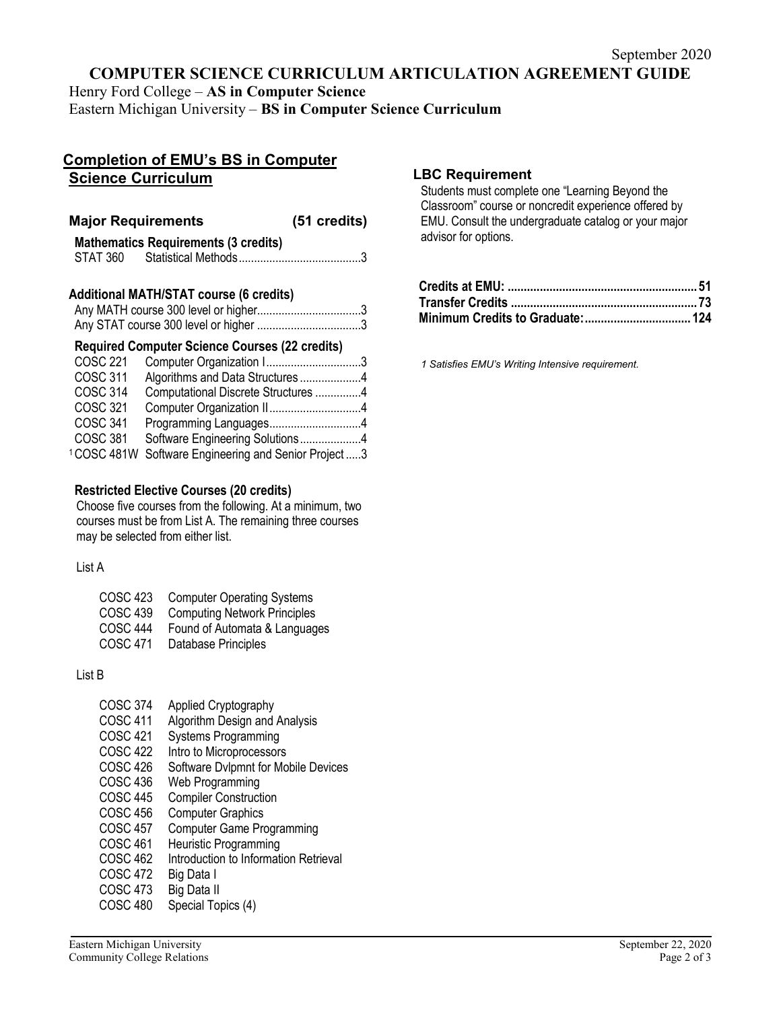# **COMPUTER SCIENCE CURRICULUM ARTICULATION AGREEMENT GUIDE**

Henry Ford College – **AS in Computer Science**

Eastern Michigan University – **BS in Computer Science Curriculum**

# **Completion of EMU's BS in Computer Science Curriculum**

#### **Major Requirements (51 credits) Mathematics Requirements (3 credits)**

|          | Mathematics Requirements (3 credits) |  |
|----------|--------------------------------------|--|
| STAT 360 |                                      |  |

#### **Additional MATH/STAT course (6 credits)**

# **Required Computer Science Courses (22 credits)**

| <b>COSC 221</b> | Computer Organization I3                 |  |
|-----------------|------------------------------------------|--|
| <b>COSC 311</b> | Algorithms and Data Structures 4         |  |
| <b>COSC 314</b> | Computational Discrete Structures 4      |  |
| <b>COSC 321</b> |                                          |  |
| <b>COSC 341</b> | Programming Languages4                   |  |
| <b>COSC 381</b> | Software Engineering Solutions4          |  |
| 1COSC 481W      | Software Engineering and Senior Project3 |  |
|                 |                                          |  |

#### **Restricted Elective Courses (20 credits)**

Choose five courses from the following. At a minimum, two courses must be from List A. The remaining three courses may be selected from either list.

### List A

- COSC 423 Computer Operating Systems
- COSC 439 Computing Network Principles
- COSC 444 Found of Automata & Languages
- COSC 471 Database Principles

#### List B

- COSC 374 Applied Cryptography
- COSC 411 Algorithm Design and Analysis
- COSC 421 Systems Programming
- COSC 422 Intro to Microprocessors
- COSC 426 Software Dylpmnt for Mobile Devices
- COSC 436 Web Programming
- COSC 445 Compiler Construction<br>COSC 456 Computer Graphics
- COSC 456 Computer Graphics<br>COSC 457 Computer Game Pro
- COSC 457 Computer Game Programming<br>COSC 461 Heuristic Programming
- Heuristic Programming
- COSC 462 Introduction to Information Retrieval<br>COSC 472 Big Data I
- COSC 472
- COSC 473 Big Data II
- COSC 480 Special Topics (4)

# **LBC Requirement**

Students must complete one "Learning Beyond the Classroom" course or noncredit experience offered by EMU. Consult the undergraduate catalog or your major advisor for options.

*1 Satisfies EMU's Writing Intensive requirement.*